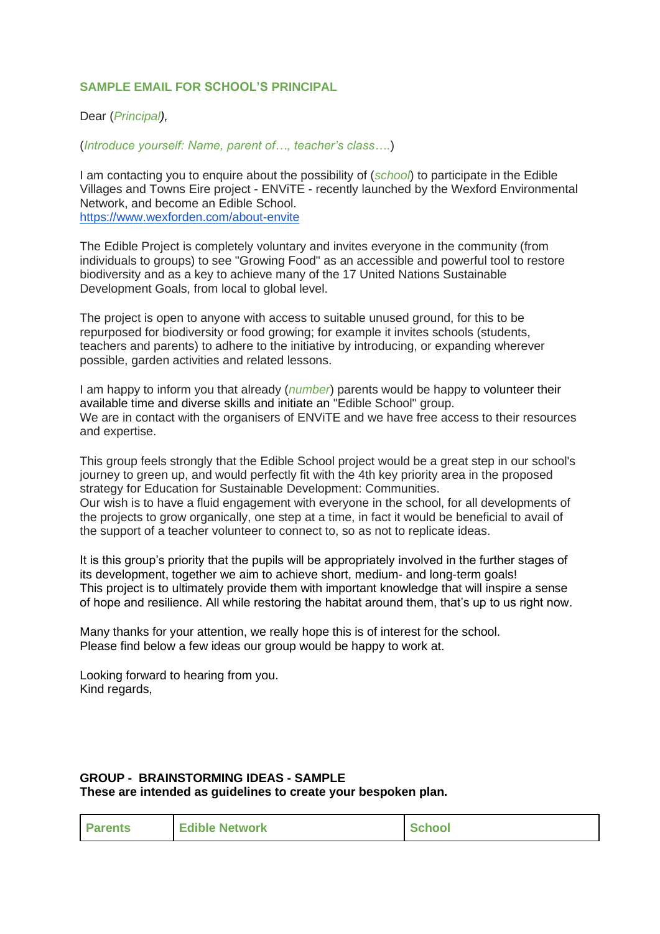## **SAMPLE EMAIL FOR SCHOOL'S PRINCIPAL**

## Dear (*Principal),*

(*Introduce yourself: Name, parent of…, teacher's class….*)

I am contacting you to enquire about the possibility of (*school*) to participate in the Edible Villages and Towns Eire project - ENViTE - recently launched by the Wexford Environmental Network, and become an Edible School. <https://www.wexforden.com/about-envite>

The Edible Project is completely voluntary and invites everyone in the community (from individuals to groups) to see "Growing Food" as an accessible and powerful tool to restore biodiversity and as a key to achieve many of the 17 United Nations Sustainable Development Goals, from local to global level.

The project is open to anyone with access to suitable unused ground, for this to be repurposed for biodiversity or food growing; for example it invites schools (students, teachers and parents) to adhere to the initiative by introducing, or expanding wherever possible, garden activities and related lessons.

I am happy to inform you that already (*number*) parents would be happy to volunteer their available time and diverse skills and initiate an "Edible School" group. We are in contact with the organisers of ENViTE and we have free access to their resources and expertise.

This group feels strongly that the Edible School project would be a great step in our school's journey to green up, and would perfectly fit with the 4th key priority area in the proposed strategy for Education for Sustainable Development: Communities. Our wish is to have a fluid engagement with everyone in the school, for all developments of the projects to grow organically, one step at a time, in fact it would be beneficial to avail of the support of a teacher volunteer to connect to, so as not to replicate ideas.

It is this group's priority that the pupils will be appropriately involved in the further stages of its development, together we aim to achieve short, medium- and long-term goals! This project is to ultimately provide them with important knowledge that will inspire a sense of hope and resilience. All while restoring the habitat around them, that's up to us right now.

Many thanks for your attention, we really hope this is of interest for the school. Please find below a few ideas our group would be happy to work at.

Looking forward to hearing from you. Kind regards,

## **GROUP - BRAINSTORMING IDEAS - SAMPLE These are intended as guidelines to create your bespoken plan.**

| <b>Parents</b> | <b>Edible Network</b> | <b>School</b> |
|----------------|-----------------------|---------------|
|----------------|-----------------------|---------------|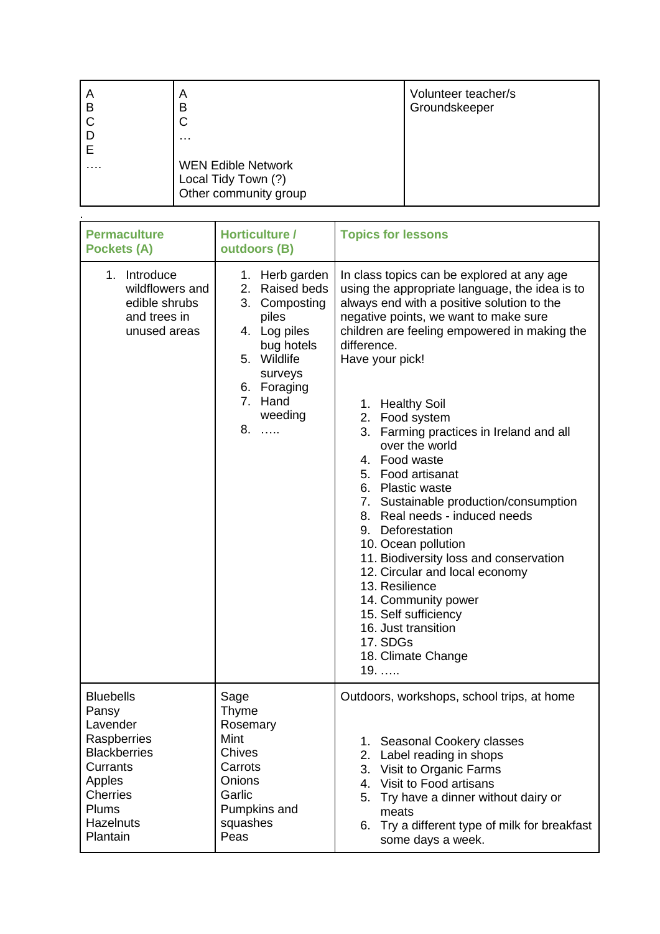| A<br>В | A<br>в                    | Volunteer teacher/s<br>Groundskeeper |
|--------|---------------------------|--------------------------------------|
|        | ◡                         |                                      |
|        | .                         |                                      |
|        |                           |                                      |
| .      | <b>WEN Edible Network</b> |                                      |
|        | Local Tidy Town (?)       |                                      |
|        | Other community group     |                                      |

.

| <b>Permaculture</b><br><b>Pockets (A)</b>                                                                                                              | Horticulture /<br>outdoors (B)                                                                                                                                   | <b>Topics for lessons</b>                                                                                                                                                                                                                                                                                                                                                                                                                                                                                                                                                                                                                                                                                                                                                    |  |
|--------------------------------------------------------------------------------------------------------------------------------------------------------|------------------------------------------------------------------------------------------------------------------------------------------------------------------|------------------------------------------------------------------------------------------------------------------------------------------------------------------------------------------------------------------------------------------------------------------------------------------------------------------------------------------------------------------------------------------------------------------------------------------------------------------------------------------------------------------------------------------------------------------------------------------------------------------------------------------------------------------------------------------------------------------------------------------------------------------------------|--|
| 1. Introduce<br>wildflowers and<br>edible shrubs<br>and trees in<br>unused areas                                                                       | 1. Herb garden<br>Raised beds<br>2.<br>3. Composting<br>piles<br>4. Log piles<br>bug hotels<br>5. Wildlife<br>surveys<br>6. Foraging<br>7. Hand<br>weeding<br>8. | In class topics can be explored at any age<br>using the appropriate language, the idea is to<br>always end with a positive solution to the<br>negative points, we want to make sure<br>children are feeling empowered in making the<br>difference.<br>Have your pick!<br>1. Healthy Soil<br>2. Food system<br>3. Farming practices in Ireland and all<br>over the world<br>4. Food waste<br>5. Food artisanat<br>6. Plastic waste<br>7. Sustainable production/consumption<br>8. Real needs - induced needs<br>9. Deforestation<br>10. Ocean pollution<br>11. Biodiversity loss and conservation<br>12. Circular and local economy<br>13. Resilience<br>14. Community power<br>15. Self sufficiency<br>16. Just transition<br>17. SDGs<br>18. Climate Change<br>$19. \ldots$ |  |
| <b>Bluebells</b><br>Pansy<br>Lavender<br>Raspberries<br><b>Blackberries</b><br>Currants<br>Apples<br><b>Cherries</b><br>Plums<br>Hazelnuts<br>Plantain | Sage<br>Thyme<br>Rosemary<br>Mint<br><b>Chives</b><br>Carrots<br><b>Onions</b><br>Garlic<br>Pumpkins and<br>squashes<br>Peas                                     | Outdoors, workshops, school trips, at home<br>1. Seasonal Cookery classes<br>2.<br>Label reading in shops<br>3. Visit to Organic Farms<br>Visit to Food artisans<br>4.<br>Try have a dinner without dairy or<br>5.<br>meats<br>Try a different type of milk for breakfast<br>6.<br>some days a week.                                                                                                                                                                                                                                                                                                                                                                                                                                                                         |  |